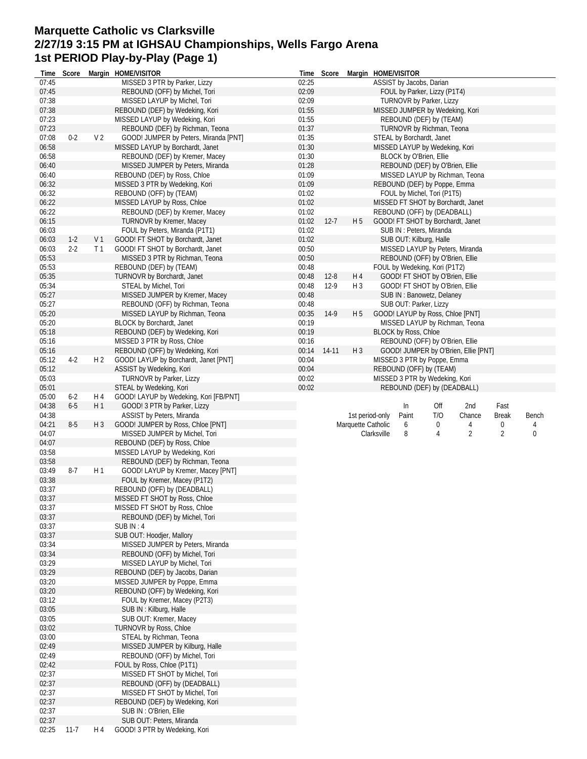# **Marquette Catholic vs Clarksville 2/27/19 3:15 PM at IGHSAU Championships, Wells Fargo Arena 1st PERIOD Play-by-Play (Page 1)**

| lime           | Score    |                | Margin HOME/VISITOR                                           | Time  | Score    | Margin HOME/VISITOR |             |                             |                                   |                                      |                |       |
|----------------|----------|----------------|---------------------------------------------------------------|-------|----------|---------------------|-------------|-----------------------------|-----------------------------------|--------------------------------------|----------------|-------|
| 07:45          |          |                | MISSED 3 PTR by Parker, Lizzy                                 | 02:25 |          |                     |             |                             | ASSIST by Jacobs, Darian          |                                      |                |       |
| 07:45          |          |                | REBOUND (OFF) by Michel, Tori                                 | 02:09 |          |                     |             |                             | FOUL by Parker, Lizzy (P1T4)      |                                      |                |       |
| 07:38          |          |                | MISSED LAYUP by Michel, Tori                                  | 02:09 |          |                     |             |                             | TURNOVR by Parker, Lizzy          |                                      |                |       |
| 07:38          |          |                | REBOUND (DEF) by Wedeking, Kori                               | 01:55 |          |                     |             |                             | MISSED JUMPER by Wedeking, Kori   |                                      |                |       |
| 07:23          |          |                | MISSED LAYUP by Wedeking, Kori                                | 01:55 |          |                     |             |                             | REBOUND (DEF) by (TEAM)           |                                      |                |       |
| 07:23          |          |                | REBOUND (DEF) by Richman, Teona                               | 01:37 |          |                     |             |                             | TURNOVR by Richman, Teona         |                                      |                |       |
| 07:08          | $0 - 2$  | V <sub>2</sub> | GOOD! JUMPER by Peters, Miranda [PNT]                         | 01:35 |          |                     |             |                             | STEAL by Borchardt, Janet         |                                      |                |       |
| 06:58          |          |                | MISSED LAYUP by Borchardt, Janet                              | 01:30 |          |                     |             |                             | MISSED LAYUP by Wedeking, Kori    |                                      |                |       |
| 06:58          |          |                | REBOUND (DEF) by Kremer, Macey                                | 01:30 |          |                     |             |                             | BLOCK by O'Brien, Ellie           |                                      |                |       |
| 06:40          |          |                | MISSED JUMPER by Peters, Miranda                              | 01:28 |          |                     |             |                             | REBOUND (DEF) by O'Brien, Ellie   |                                      |                |       |
|                |          |                |                                                               |       |          |                     |             |                             |                                   |                                      |                |       |
| 06:40          |          |                | REBOUND (DEF) by Ross, Chloe                                  | 01:09 |          |                     |             |                             |                                   | MISSED LAYUP by Richman, Teona       |                |       |
| 06:32          |          |                | MISSED 3 PTR by Wedeking, Kori                                | 01:09 |          |                     |             |                             | REBOUND (DEF) by Poppe, Emma      |                                      |                |       |
| 06:32          |          |                | REBOUND (OFF) by (TEAM)                                       | 01:02 |          |                     |             |                             | FOUL by Michel, Tori (P1T5)       |                                      |                |       |
| 06:22          |          |                | MISSED LAYUP by Ross, Chloe                                   | 01:02 |          |                     |             |                             |                                   | MISSED FT SHOT by Borchardt, Janet   |                |       |
| 06:22          |          |                | REBOUND (DEF) by Kremer, Macey                                | 01:02 |          |                     |             |                             | REBOUND (OFF) by (DEADBALL)       |                                      |                |       |
| 06:15          |          |                | <b>TURNOVR by Kremer, Macey</b>                               | 01:02 | $12 - 7$ | H <sub>5</sub>      |             |                             | GOOD! FT SHOT by Borchardt, Janet |                                      |                |       |
| 06:03          |          |                | FOUL by Peters, Miranda (P1T1)                                | 01:02 |          |                     |             |                             | SUB IN: Peters, Miranda           |                                      |                |       |
| 06:03          | $1-2$    | V <sub>1</sub> | GOOD! FT SHOT by Borchardt, Janet                             | 01:02 |          |                     |             |                             | SUB OUT: Kilburg, Halle           |                                      |                |       |
| 06:03          | $2 - 2$  | T <sub>1</sub> | GOOD! FT SHOT by Borchardt, Janet                             | 00:50 |          |                     |             |                             | MISSED LAYUP by Peters, Miranda   |                                      |                |       |
| 05:53          |          |                | MISSED 3 PTR by Richman, Teona                                | 00:50 |          |                     |             |                             | REBOUND (OFF) by O'Brien, Ellie   |                                      |                |       |
| 05:53          |          |                | REBOUND (DEF) by (TEAM)                                       | 00:48 |          |                     |             |                             | FOUL by Wedeking, Kori (P1T2)     |                                      |                |       |
| 05:35          |          |                | TURNOVR by Borchardt, Janet                                   | 00:48 | $12 - 8$ | H 4                 |             |                             | GOOD! FT SHOT by O'Brien, Ellie   |                                      |                |       |
| 05:34          |          |                | STEAL by Michel, Tori                                         | 00:48 | $12-9$   | H <sub>3</sub>      |             |                             | GOOD! FT SHOT by O'Brien, Ellie   |                                      |                |       |
|                |          |                |                                                               |       |          |                     |             |                             |                                   |                                      |                |       |
| 05:27          |          |                | MISSED JUMPER by Kremer, Macey                                | 00:48 |          |                     |             |                             | SUB IN: Banowetz, Delaney         |                                      |                |       |
| 05:27          |          |                | REBOUND (OFF) by Richman, Teona                               | 00:48 |          |                     |             |                             | SUB OUT: Parker, Lizzy            |                                      |                |       |
| 05:20          |          |                | MISSED LAYUP by Richman, Teona                                | 00:35 | $14-9$   | H <sub>5</sub>      |             |                             | GOOD! LAYUP by Ross, Chloe [PNT]  |                                      |                |       |
| 05:20          |          |                | <b>BLOCK by Borchardt, Janet</b>                              | 00:19 |          |                     |             |                             |                                   | MISSED LAYUP by Richman, Teona       |                |       |
| 05:18          |          |                | REBOUND (DEF) by Wedeking, Kori                               | 00:19 |          |                     |             | <b>BLOCK by Ross, Chloe</b> |                                   |                                      |                |       |
| 05:16          |          |                | MISSED 3 PTR by Ross, Chloe                                   | 00:16 |          |                     |             |                             | REBOUND (OFF) by O'Brien, Ellie   |                                      |                |       |
| 05:16          |          |                | REBOUND (OFF) by Wedeking, Kori                               | 00:14 | 14-11    | $H_3$               |             |                             |                                   | GOOD! JUMPER by O'Brien, Ellie [PNT] |                |       |
| 05:12          | $4-2$    | H <sub>2</sub> | GOOD! LAYUP by Borchardt, Janet [PNT]                         | 00:04 |          |                     |             |                             | MISSED 3 PTR by Poppe, Emma       |                                      |                |       |
| 05:12          |          |                | ASSIST by Wedeking, Kori                                      | 00:04 |          |                     |             |                             | REBOUND (OFF) by (TEAM)           |                                      |                |       |
| 05:03          |          |                | TURNOVR by Parker, Lizzy                                      | 00:02 |          |                     |             |                             | MISSED 3 PTR by Wedeking, Kori    |                                      |                |       |
| 05:01          |          |                | STEAL by Wedeking, Kori                                       | 00:02 |          |                     |             |                             | REBOUND (DEF) by (DEADBALL)       |                                      |                |       |
|                |          |                |                                                               |       |          |                     |             |                             |                                   |                                      |                |       |
| 05:00<br>04:38 | $6 - 2$  | H 4            | GOOD! LAYUP by Wedeking, Kori [FB/PNT]                        |       |          |                     |             |                             |                                   |                                      |                |       |
|                |          |                |                                                               |       |          |                     |             |                             |                                   |                                      |                |       |
|                | $6 - 5$  | H1             | GOOD! 3 PTR by Parker, Lizzy                                  |       |          |                     |             | In                          | Off                               | 2nd                                  | Fast           |       |
| 04:38          |          |                | ASSIST by Peters, Miranda                                     |       |          | 1st period-only     |             | Paint                       | T/O                               | Chance                               | <b>Break</b>   | Bench |
| 04:21          | $8-5$    | $H_3$          | GOOD! JUMPER by Ross, Chloe [PNT]                             |       |          | Marquette Catholic  |             | 6                           | 0                                 | 4                                    | 0              | 4     |
| 04:07          |          |                | MISSED JUMPER by Michel, Tori                                 |       |          |                     | Clarksville | 8                           | 4                                 | $\overline{2}$                       | $\overline{2}$ | 0     |
| 04:07          |          |                |                                                               |       |          |                     |             |                             |                                   |                                      |                |       |
|                |          |                | REBOUND (DEF) by Ross, Chloe                                  |       |          |                     |             |                             |                                   |                                      |                |       |
| 03:58          |          |                | MISSED LAYUP by Wedeking, Kori                                |       |          |                     |             |                             |                                   |                                      |                |       |
| 03:58          |          |                | REBOUND (DEF) by Richman, Teona                               |       |          |                     |             |                             |                                   |                                      |                |       |
| 03:49          | $8-7$    | H1             | GOOD! LAYUP by Kremer, Macey [PNT]                            |       |          |                     |             |                             |                                   |                                      |                |       |
| 03:38          |          |                | FOUL by Kremer, Macey (P1T2)                                  |       |          |                     |             |                             |                                   |                                      |                |       |
| 03:37          |          |                | REBOUND (OFF) by (DEADBALL)                                   |       |          |                     |             |                             |                                   |                                      |                |       |
| 03:37          |          |                | MISSED FT SHOT by Ross, Chloe                                 |       |          |                     |             |                             |                                   |                                      |                |       |
| 03:37          |          |                | MISSED FT SHOT by Ross, Chloe                                 |       |          |                     |             |                             |                                   |                                      |                |       |
| 03:37          |          |                | REBOUND (DEF) by Michel, Tori                                 |       |          |                     |             |                             |                                   |                                      |                |       |
| 03:37          |          |                | SUB IN: 4                                                     |       |          |                     |             |                             |                                   |                                      |                |       |
| 03:37          |          |                | SUB OUT: Hoodjer, Mallory                                     |       |          |                     |             |                             |                                   |                                      |                |       |
| 03:34          |          |                | MISSED JUMPER by Peters, Miranda                              |       |          |                     |             |                             |                                   |                                      |                |       |
| 03:34          |          |                |                                                               |       |          |                     |             |                             |                                   |                                      |                |       |
| 03:29          |          |                | REBOUND (OFF) by Michel, Tori<br>MISSED LAYUP by Michel, Tori |       |          |                     |             |                             |                                   |                                      |                |       |
|                |          |                |                                                               |       |          |                     |             |                             |                                   |                                      |                |       |
| 03:29          |          |                | REBOUND (DEF) by Jacobs, Darian                               |       |          |                     |             |                             |                                   |                                      |                |       |
| 03:20          |          |                | MISSED JUMPER by Poppe, Emma                                  |       |          |                     |             |                             |                                   |                                      |                |       |
| 03:20          |          |                | REBOUND (OFF) by Wedeking, Kori                               |       |          |                     |             |                             |                                   |                                      |                |       |
| 03:12          |          |                | FOUL by Kremer, Macey (P2T3)                                  |       |          |                     |             |                             |                                   |                                      |                |       |
| 03:05          |          |                | SUB IN: Kilburg, Halle                                        |       |          |                     |             |                             |                                   |                                      |                |       |
| 03:05          |          |                | SUB OUT: Kremer, Macey                                        |       |          |                     |             |                             |                                   |                                      |                |       |
| 03:02          |          |                | <b>TURNOVR by Ross, Chloe</b>                                 |       |          |                     |             |                             |                                   |                                      |                |       |
| 03:00          |          |                | STEAL by Richman, Teona                                       |       |          |                     |             |                             |                                   |                                      |                |       |
| 02:49          |          |                | MISSED JUMPER by Kilburg, Halle                               |       |          |                     |             |                             |                                   |                                      |                |       |
| 02:49          |          |                | REBOUND (OFF) by Michel, Tori                                 |       |          |                     |             |                             |                                   |                                      |                |       |
|                |          |                |                                                               |       |          |                     |             |                             |                                   |                                      |                |       |
| 02:42          |          |                | FOUL by Ross, Chloe (P1T1)                                    |       |          |                     |             |                             |                                   |                                      |                |       |
| 02:37          |          |                | MISSED FT SHOT by Michel, Tori                                |       |          |                     |             |                             |                                   |                                      |                |       |
| 02:37          |          |                | REBOUND (OFF) by (DEADBALL)                                   |       |          |                     |             |                             |                                   |                                      |                |       |
| 02:37          |          |                | MISSED FT SHOT by Michel, Tori                                |       |          |                     |             |                             |                                   |                                      |                |       |
| 02:37          |          |                | REBOUND (DEF) by Wedeking, Kori                               |       |          |                     |             |                             |                                   |                                      |                |       |
| 02:37          |          |                | SUB IN: O'Brien, Ellie                                        |       |          |                     |             |                             |                                   |                                      |                |       |
| 02:37<br>02:25 | $11 - 7$ | H 4            | SUB OUT: Peters, Miranda<br>GOOD! 3 PTR by Wedeking, Kori     |       |          |                     |             |                             |                                   |                                      |                |       |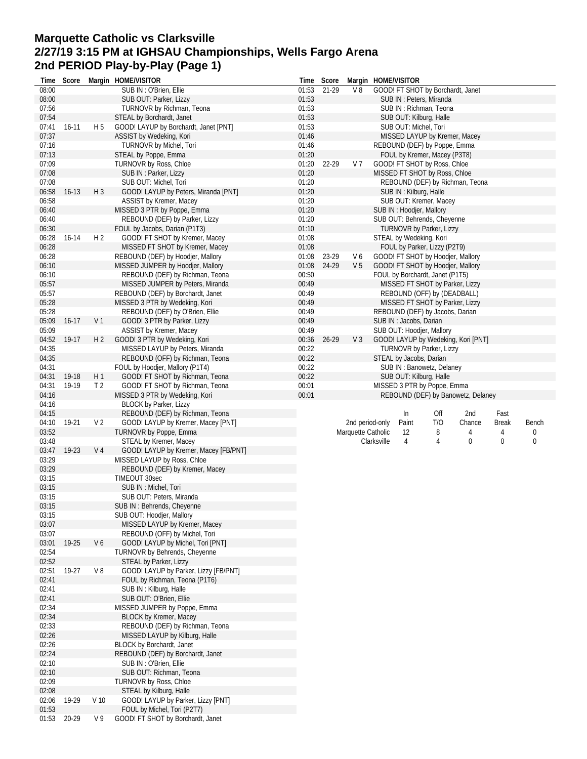# **Marquette Catholic vs Clarksville 2/27/19 3:15 PM at IGHSAU Championships, Wells Fargo Arena 2nd PERIOD Play-by-Play (Page 1)**

| Time           | Score     |                 | Margin HOME/VISITOR                                                 | Time           | Score          |                    |             | Margin HOME/VISITOR      |                                                                    |                                     |                   |            |
|----------------|-----------|-----------------|---------------------------------------------------------------------|----------------|----------------|--------------------|-------------|--------------------------|--------------------------------------------------------------------|-------------------------------------|-------------------|------------|
| 08:00          |           |                 | SUB IN: O'Brien, Ellie                                              | 01:53          | 21-29          | V8                 |             |                          | GOOD! FT SHOT by Borchardt, Janet                                  |                                     |                   |            |
| 08:00          |           |                 | SUB OUT: Parker, Lizzy                                              | 01:53          |                |                    |             |                          | SUB IN: Peters, Miranda                                            |                                     |                   |            |
| 07:56          |           |                 | TURNOVR by Richman, Teona                                           | 01:53          |                |                    |             |                          | SUB IN: Richman, Teona                                             |                                     |                   |            |
| 07:54          |           |                 | STEAL by Borchardt, Janet                                           | 01:53          |                |                    |             | SUB OUT: Kilburg, Halle  |                                                                    |                                     |                   |            |
| 07:41          | $16 - 11$ | H <sub>5</sub>  | GOOD! LAYUP by Borchardt, Janet [PNT]                               | 01:53          |                |                    |             | SUB OUT: Michel, Tori    |                                                                    |                                     |                   |            |
| 07:37          |           |                 | ASSIST by Wedeking, Kori                                            | 01:46          |                |                    |             |                          | MISSED LAYUP by Kremer, Macey                                      |                                     |                   |            |
| 07:16          |           |                 | TURNOVR by Michel, Tori                                             | 01:46          |                |                    |             |                          | REBOUND (DEF) by Poppe, Emma                                       |                                     |                   |            |
| 07:13          |           |                 | STEAL by Poppe, Emma                                                | 01:20          |                |                    |             |                          | FOUL by Kremer, Macey (P3T8)                                       |                                     |                   |            |
| 07:09          |           |                 | TURNOVR by Ross, Chloe                                              | 01:20          | 22-29          | V 7                |             |                          | GOOD! FT SHOT by Ross, Chloe                                       |                                     |                   |            |
| 07:08          |           |                 | SUB IN: Parker, Lizzy                                               | 01:20          |                |                    |             |                          | MISSED FT SHOT by Ross, Chloe                                      |                                     |                   |            |
| 07:08          |           |                 | SUB OUT: Michel, Tori                                               | 01:20          |                |                    |             |                          |                                                                    | REBOUND (DEF) by Richman, Teona     |                   |            |
| 06:58          | $16-13$   | $H_3$           | GOOD! LAYUP by Peters, Miranda [PNT]                                | 01:20          |                |                    |             | SUB IN: Kilburg, Halle   |                                                                    |                                     |                   |            |
| 06:58          |           |                 | ASSIST by Kremer, Macey                                             | 01:20          |                |                    |             |                          | SUB OUT: Kremer, Macey                                             |                                     |                   |            |
| 06:40          |           |                 | MISSED 3 PTR by Poppe, Emma                                         | 01:20          |                |                    |             | SUB IN: Hoodjer, Mallory |                                                                    |                                     |                   |            |
| 06:40          |           |                 | REBOUND (DEF) by Parker, Lizzy                                      | 01:20          |                |                    |             |                          | SUB OUT: Behrends, Cheyenne                                        |                                     |                   |            |
| 06:30          |           |                 | FOUL by Jacobs, Darian (P1T3)                                       | 01:10          |                |                    |             |                          | <b>TURNOVR by Parker, Lizzy</b>                                    |                                     |                   |            |
| 06:28          | $16-14$   | H <sub>2</sub>  | GOOD! FT SHOT by Kremer, Macey                                      | 01:08          |                |                    |             | STEAL by Wedeking, Kori  |                                                                    |                                     |                   |            |
| 06:28          |           |                 | MISSED FT SHOT by Kremer, Macey                                     | 01:08          |                |                    |             |                          | FOUL by Parker, Lizzy (P2T9)                                       |                                     |                   |            |
| 06:28          |           |                 | REBOUND (DEF) by Hoodjer, Mallory                                   | 01:08          | 23-29<br>24-29 | V6                 |             |                          | GOOD! FT SHOT by Hoodjer, Mallory                                  |                                     |                   |            |
| 06:10<br>06:10 |           |                 | MISSED JUMPER by Hoodjer, Mallory                                   | 01:08          |                | V <sub>5</sub>     |             |                          | GOOD! FT SHOT by Hoodjer, Mallory                                  |                                     |                   |            |
| 05:57          |           |                 | REBOUND (DEF) by Richman, Teona<br>MISSED JUMPER by Peters, Miranda | 00:50<br>00:49 |                |                    |             |                          | FOUL by Borchardt, Janet (P1T5)<br>MISSED FT SHOT by Parker, Lizzy |                                     |                   |            |
| 05:57          |           |                 |                                                                     | 00:49          |                |                    |             |                          |                                                                    |                                     |                   |            |
| 05:28          |           |                 | REBOUND (DEF) by Borchardt, Janet                                   | 00:49          |                |                    |             |                          | REBOUND (OFF) by (DEADBALL)                                        |                                     |                   |            |
| 05:28          |           |                 | MISSED 3 PTR by Wedeking, Kori<br>REBOUND (DEF) by O'Brien, Ellie   | 00:49          |                |                    |             |                          | MISSED FT SHOT by Parker, Lizzy<br>REBOUND (DEF) by Jacobs, Darian |                                     |                   |            |
| 05:09          | $16-17$   | V <sub>1</sub>  | GOOD! 3 PTR by Parker, Lizzy                                        | 00:49          |                |                    |             | SUB IN: Jacobs, Darian   |                                                                    |                                     |                   |            |
| 05:09          |           |                 | ASSIST by Kremer, Macey                                             | 00:49          |                |                    |             |                          | SUB OUT: Hoodjer, Mallory                                          |                                     |                   |            |
| 04:52          | 19-17     | H <sub>2</sub>  | GOOD! 3 PTR by Wedeking, Kori                                       | 00:36          | 26-29          | $V_3$              |             |                          |                                                                    | GOOD! LAYUP by Wedeking, Kori [PNT] |                   |            |
| 04:35          |           |                 | MISSED LAYUP by Peters, Miranda                                     | 00:22          |                |                    |             |                          | TURNOVR by Parker, Lizzy                                           |                                     |                   |            |
| 04:35          |           |                 | REBOUND (OFF) by Richman, Teona                                     | 00:22          |                |                    |             | STEAL by Jacobs, Darian  |                                                                    |                                     |                   |            |
| 04:31          |           |                 | FOUL by Hoodjer, Mallory (P1T4)                                     | 00:22          |                |                    |             |                          | SUB IN: Banowetz, Delaney                                          |                                     |                   |            |
| 04:31          | 19-18     | H1              | GOOD! FT SHOT by Richman, Teona                                     | 00:22          |                |                    |             | SUB OUT: Kilburg, Halle  |                                                                    |                                     |                   |            |
| 04:31          | 19-19     | T <sub>2</sub>  | GOOD! FT SHOT by Richman, Teona                                     | 00:01          |                |                    |             |                          | MISSED 3 PTR by Poppe, Emma                                        |                                     |                   |            |
| 04:16          |           |                 | MISSED 3 PTR by Wedeking, Kori                                      | 00:01          |                |                    |             |                          |                                                                    | REBOUND (DEF) by Banowetz, Delaney  |                   |            |
| 04:16          |           |                 | <b>BLOCK by Parker, Lizzy</b>                                       |                |                |                    |             |                          |                                                                    |                                     |                   |            |
|                |           |                 |                                                                     |                |                |                    |             |                          |                                                                    |                                     |                   |            |
| 04:15          |           |                 |                                                                     |                |                |                    |             |                          | Off                                                                | 2nd                                 | Fast              |            |
|                |           |                 | REBOUND (DEF) by Richman, Teona                                     |                |                |                    |             | In                       |                                                                    |                                     |                   |            |
| 04:10          | 19-21     | V <sub>2</sub>  | GOOD! LAYUP by Kremer, Macey [PNT]                                  |                |                | 2nd period-only    |             | Paint                    | T/O                                                                | Chance                              | <b>Break</b><br>4 | Bench<br>0 |
| 03:52<br>03:48 |           |                 | TURNOVR by Poppe, Emma                                              |                |                | Marquette Catholic |             | 12<br>4                  | 8<br>4                                                             | 4<br>$\mathbf 0$                    | 0                 | 0          |
| 03:47          | 19-23     | V <sub>4</sub>  | STEAL by Kremer, Macey                                              |                |                |                    | Clarksville |                          |                                                                    |                                     |                   |            |
| 03:29          |           |                 | GOOD! LAYUP by Kremer, Macey [FB/PNT]                               |                |                |                    |             |                          |                                                                    |                                     |                   |            |
| 03:29          |           |                 | MISSED LAYUP by Ross, Chloe                                         |                |                |                    |             |                          |                                                                    |                                     |                   |            |
| 03:15          |           |                 | REBOUND (DEF) by Kremer, Macey<br>TIMEOUT 30sec                     |                |                |                    |             |                          |                                                                    |                                     |                   |            |
| 03:15          |           |                 | SUB IN : Michel, Tori                                               |                |                |                    |             |                          |                                                                    |                                     |                   |            |
| 03:15          |           |                 | SUB OUT: Peters, Miranda                                            |                |                |                    |             |                          |                                                                    |                                     |                   |            |
| 03:15          |           |                 | SUB IN : Behrends, Cheyenne                                         |                |                |                    |             |                          |                                                                    |                                     |                   |            |
| 03:15          |           |                 | SUB OUT: Hoodjer, Mallory                                           |                |                |                    |             |                          |                                                                    |                                     |                   |            |
| 03:07          |           |                 | MISSED LAYUP by Kremer, Macey                                       |                |                |                    |             |                          |                                                                    |                                     |                   |            |
| 03:07          |           |                 | REBOUND (OFF) by Michel, Tori                                       |                |                |                    |             |                          |                                                                    |                                     |                   |            |
| 03:01          | 19-25     | V6              | GOOD! LAYUP by Michel, Tori [PNT]                                   |                |                |                    |             |                          |                                                                    |                                     |                   |            |
| 02:54          |           |                 | TURNOVR by Behrends, Cheyenne                                       |                |                |                    |             |                          |                                                                    |                                     |                   |            |
| 02:52          |           |                 | STEAL by Parker, Lizzy                                              |                |                |                    |             |                          |                                                                    |                                     |                   |            |
| 02:51          | 19-27     | V8              | GOOD! LAYUP by Parker, Lizzy [FB/PNT]                               |                |                |                    |             |                          |                                                                    |                                     |                   |            |
| 02:41          |           |                 | FOUL by Richman, Teona (P1T6)                                       |                |                |                    |             |                          |                                                                    |                                     |                   |            |
| 02:41          |           |                 | SUB IN: Kilburg, Halle                                              |                |                |                    |             |                          |                                                                    |                                     |                   |            |
| 02:41          |           |                 | SUB OUT: O'Brien, Ellie                                             |                |                |                    |             |                          |                                                                    |                                     |                   |            |
| 02:34          |           |                 | MISSED JUMPER by Poppe, Emma                                        |                |                |                    |             |                          |                                                                    |                                     |                   |            |
| 02:34          |           |                 | BLOCK by Kremer, Macey                                              |                |                |                    |             |                          |                                                                    |                                     |                   |            |
| 02:33          |           |                 | REBOUND (DEF) by Richman, Teona                                     |                |                |                    |             |                          |                                                                    |                                     |                   |            |
| 02:26          |           |                 | MISSED LAYUP by Kilburg, Halle                                      |                |                |                    |             |                          |                                                                    |                                     |                   |            |
| 02:26          |           |                 | <b>BLOCK by Borchardt, Janet</b>                                    |                |                |                    |             |                          |                                                                    |                                     |                   |            |
| 02:24          |           |                 | REBOUND (DEF) by Borchardt, Janet                                   |                |                |                    |             |                          |                                                                    |                                     |                   |            |
| 02:10          |           |                 | SUB IN: O'Brien, Ellie                                              |                |                |                    |             |                          |                                                                    |                                     |                   |            |
| 02:10          |           |                 | SUB OUT: Richman, Teona                                             |                |                |                    |             |                          |                                                                    |                                     |                   |            |
| 02:09          |           |                 | TURNOVR by Ross, Chloe                                              |                |                |                    |             |                          |                                                                    |                                     |                   |            |
| 02:08          |           |                 | STEAL by Kilburg, Halle                                             |                |                |                    |             |                          |                                                                    |                                     |                   |            |
| 02:06          | 19-29     | V <sub>10</sub> | GOOD! LAYUP by Parker, Lizzy [PNT]                                  |                |                |                    |             |                          |                                                                    |                                     |                   |            |
| 01:53<br>01:53 | 20-29     | V 9             | FOUL by Michel, Tori (P2T7)<br>GOOD! FT SHOT by Borchardt, Janet    |                |                |                    |             |                          |                                                                    |                                     |                   |            |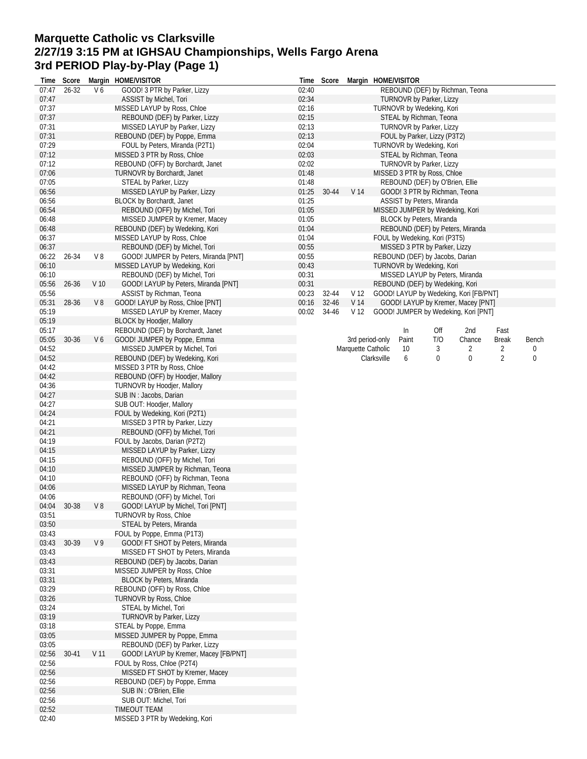#### **Marquette Catholic vs Clarksville 2/27/19 3:15 PM at IGHSAU Championships, Wells Fargo Arena 3rd PERIOD Play-by-Play (Page 1)**

| Time           | Score     |                 | Margin HOME/VISITOR                                              | Time           | Score |                    | Margin HOME/VISITOR                                        |          |        |                |       |
|----------------|-----------|-----------------|------------------------------------------------------------------|----------------|-------|--------------------|------------------------------------------------------------|----------|--------|----------------|-------|
| 07:47          | 26-32     | V6              | GOOD! 3 PTR by Parker, Lizzy                                     | 02:40          |       |                    | REBOUND (DEF) by Richman, Teona                            |          |        |                |       |
| 07:47          |           |                 | ASSIST by Michel, Tori                                           | 02:34          |       |                    | TURNOVR by Parker, Lizzy                                   |          |        |                |       |
| 07:37          |           |                 | MISSED LAYUP by Ross, Chloe                                      | 02:16          |       |                    | TURNOVR by Wedeking, Kori                                  |          |        |                |       |
| 07:37          |           |                 | REBOUND (DEF) by Parker, Lizzy                                   | 02:15          |       |                    | STEAL by Richman, Teona                                    |          |        |                |       |
| 07:31          |           |                 | MISSED LAYUP by Parker, Lizzy                                    | 02:13          |       |                    | <b>TURNOVR by Parker, Lizzy</b>                            |          |        |                |       |
| 07:31          |           |                 | REBOUND (DEF) by Poppe, Emma                                     | 02:13          |       |                    | FOUL by Parker, Lizzy (P3T2)                               |          |        |                |       |
| 07:29          |           |                 | FOUL by Peters, Miranda (P2T1)                                   | 02:04          |       |                    | TURNOVR by Wedeking, Kori                                  |          |        |                |       |
| 07:12<br>07:12 |           |                 | MISSED 3 PTR by Ross, Chloe<br>REBOUND (OFF) by Borchardt, Janet | 02:03<br>02:02 |       |                    | STEAL by Richman, Teona<br><b>TURNOVR by Parker, Lizzy</b> |          |        |                |       |
| 07:06          |           |                 | TURNOVR by Borchardt, Janet                                      | 01:48          |       |                    | MISSED 3 PTR by Ross, Chloe                                |          |        |                |       |
| 07:05          |           |                 | STEAL by Parker, Lizzy                                           | 01:48          |       |                    | REBOUND (DEF) by O'Brien, Ellie                            |          |        |                |       |
| 06:56          |           |                 | MISSED LAYUP by Parker, Lizzy                                    | 01:25          | 30-44 | V 14               | GOOD! 3 PTR by Richman, Teona                              |          |        |                |       |
| 06:56          |           |                 | BLOCK by Borchardt, Janet                                        | 01:25          |       |                    | <b>ASSIST by Peters, Miranda</b>                           |          |        |                |       |
| 06:54          |           |                 | REBOUND (OFF) by Michel, Tori                                    | 01:05          |       |                    | MISSED JUMPER by Wedeking, Kori                            |          |        |                |       |
| 06:48          |           |                 | MISSED JUMPER by Kremer, Macey                                   | 01:05          |       |                    | BLOCK by Peters, Miranda                                   |          |        |                |       |
| 06:48          |           |                 | REBOUND (DEF) by Wedeking, Kori                                  | 01:04          |       |                    | REBOUND (DEF) by Peters, Miranda                           |          |        |                |       |
| 06:37          |           |                 | MISSED LAYUP by Ross, Chloe                                      | 01:04          |       |                    | FOUL by Wedeking, Kori (P3T5)                              |          |        |                |       |
| 06:37          |           |                 | REBOUND (DEF) by Michel, Tori                                    | 00:55          |       |                    | MISSED 3 PTR by Parker, Lizzy                              |          |        |                |       |
| 06:22          | 26-34     | V8              | GOOD! JUMPER by Peters, Miranda [PNT]                            | 00:55          |       |                    | REBOUND (DEF) by Jacobs, Darian                            |          |        |                |       |
| 06:10          |           |                 | MISSED LAYUP by Wedeking, Kori                                   | 00:43          |       |                    | TURNOVR by Wedeking, Kori                                  |          |        |                |       |
| 06:10          |           |                 | REBOUND (DEF) by Michel, Tori                                    | 00:31          |       |                    | MISSED LAYUP by Peters, Miranda                            |          |        |                |       |
| 05:56          | 26-36     | V 10            | GOOD! LAYUP by Peters, Miranda [PNT]                             | 00:31          |       |                    | REBOUND (DEF) by Wedeking, Kori                            |          |        |                |       |
| 05:56          |           |                 | ASSIST by Richman, Teona                                         | 00:23          | 32-44 | V <sub>12</sub>    | GOOD! LAYUP by Wedeking, Kori [FB/PNT]                     |          |        |                |       |
| 05:31          | 28-36     | V8              | GOOD! LAYUP by Ross, Chloe [PNT]                                 | 00:16          | 32-46 | V 14               | GOOD! LAYUP by Kremer, Macey [PNT]                         |          |        |                |       |
| 05:19          |           |                 | MISSED LAYUP by Kremer, Macey                                    | 00:02          | 34-46 | V <sub>12</sub>    | GOOD! JUMPER by Wedeking, Kori [PNT]                       |          |        |                |       |
| 05:19          |           |                 | <b>BLOCK by Hoodjer, Mallory</b>                                 |                |       |                    |                                                            |          |        |                |       |
| 05:17          |           |                 | REBOUND (DEF) by Borchardt, Janet                                |                |       |                    | In                                                         | Off      | 2nd    | Fast           |       |
| 05:05          | 30-36     | V6              | GOOD! JUMPER by Poppe, Emma                                      |                |       | 3rd period-only    | Paint                                                      | T/O      | Chance | Break          | Bench |
| 04:52          |           |                 | MISSED JUMPER by Michel, Tori                                    |                |       | Marquette Catholic | 10                                                         | 3        | 2      | 2              | 0     |
| 04:52          |           |                 | REBOUND (DEF) by Wedeking, Kori                                  |                |       |                    | Clarksville<br>6                                           | $\bf{0}$ | 0      | $\overline{2}$ | 0     |
| 04:42<br>04:42 |           |                 | MISSED 3 PTR by Ross, Chloe<br>REBOUND (OFF) by Hoodjer, Mallory |                |       |                    |                                                            |          |        |                |       |
| 04:36          |           |                 | TURNOVR by Hoodjer, Mallory                                      |                |       |                    |                                                            |          |        |                |       |
| 04:27          |           |                 | SUB IN: Jacobs, Darian                                           |                |       |                    |                                                            |          |        |                |       |
| 04:27          |           |                 | SUB OUT: Hoodjer, Mallory                                        |                |       |                    |                                                            |          |        |                |       |
| 04:24          |           |                 | FOUL by Wedeking, Kori (P2T1)                                    |                |       |                    |                                                            |          |        |                |       |
| 04:21          |           |                 | MISSED 3 PTR by Parker, Lizzy                                    |                |       |                    |                                                            |          |        |                |       |
| 04:21          |           |                 | REBOUND (OFF) by Michel, Tori                                    |                |       |                    |                                                            |          |        |                |       |
| 04:19          |           |                 | FOUL by Jacobs, Darian (P2T2)                                    |                |       |                    |                                                            |          |        |                |       |
| 04:15          |           |                 | MISSED LAYUP by Parker, Lizzy                                    |                |       |                    |                                                            |          |        |                |       |
| 04:15          |           |                 | REBOUND (OFF) by Michel, Tori                                    |                |       |                    |                                                            |          |        |                |       |
| 04:10          |           |                 | MISSED JUMPER by Richman, Teona                                  |                |       |                    |                                                            |          |        |                |       |
| 04:10          |           |                 | REBOUND (OFF) by Richman, Teona                                  |                |       |                    |                                                            |          |        |                |       |
| 04:06          |           |                 | MISSED LAYUP by Richman, Teona                                   |                |       |                    |                                                            |          |        |                |       |
| 04:06          |           |                 | REBOUND (OFF) by Michel, Tori                                    |                |       |                    |                                                            |          |        |                |       |
| 04:04          | 30-38     | V8              | GOOD! LAYUP by Michel, Tori [PNT]                                |                |       |                    |                                                            |          |        |                |       |
| 03:51          |           |                 | TURNOVR by Ross, Chloe                                           |                |       |                    |                                                            |          |        |                |       |
| 03:50          |           |                 | STEAL by Peters, Miranda                                         |                |       |                    |                                                            |          |        |                |       |
| 03:43          |           |                 | FOUL by Poppe, Emma (P1T3)                                       |                |       |                    |                                                            |          |        |                |       |
| 03:43          | 30-39     | V <sub>9</sub>  | GOOD! FT SHOT by Peters, Miranda                                 |                |       |                    |                                                            |          |        |                |       |
| 03:43          |           |                 | MISSED FT SHOT by Peters, Miranda                                |                |       |                    |                                                            |          |        |                |       |
| 03:43<br>03:31 |           |                 | REBOUND (DEF) by Jacobs, Darian<br>MISSED JUMPER by Ross, Chloe  |                |       |                    |                                                            |          |        |                |       |
| 03:31          |           |                 | BLOCK by Peters, Miranda                                         |                |       |                    |                                                            |          |        |                |       |
| 03:29          |           |                 | REBOUND (OFF) by Ross, Chloe                                     |                |       |                    |                                                            |          |        |                |       |
| 03:26          |           |                 | <b>TURNOVR by Ross, Chloe</b>                                    |                |       |                    |                                                            |          |        |                |       |
| 03:24          |           |                 | STEAL by Michel, Tori                                            |                |       |                    |                                                            |          |        |                |       |
| 03:19          |           |                 | <b>TURNOVR by Parker, Lizzy</b>                                  |                |       |                    |                                                            |          |        |                |       |
| 03:18          |           |                 | STEAL by Poppe, Emma                                             |                |       |                    |                                                            |          |        |                |       |
| 03:05          |           |                 | MISSED JUMPER by Poppe, Emma                                     |                |       |                    |                                                            |          |        |                |       |
| 03:05          |           |                 | REBOUND (DEF) by Parker, Lizzy                                   |                |       |                    |                                                            |          |        |                |       |
| 02:56          | $30 - 41$ | V <sub>11</sub> | GOOD! LAYUP by Kremer, Macey [FB/PNT]                            |                |       |                    |                                                            |          |        |                |       |
| 02:56          |           |                 | FOUL by Ross, Chloe (P2T4)                                       |                |       |                    |                                                            |          |        |                |       |
| 02:56          |           |                 | MISSED FT SHOT by Kremer, Macey                                  |                |       |                    |                                                            |          |        |                |       |
| 02:56          |           |                 | REBOUND (DEF) by Poppe, Emma                                     |                |       |                    |                                                            |          |        |                |       |
| 02:56          |           |                 | SUB IN: O'Brien, Ellie                                           |                |       |                    |                                                            |          |        |                |       |
| 02:56          |           |                 | SUB OUT: Michel, Tori                                            |                |       |                    |                                                            |          |        |                |       |
| 02:52          |           |                 | TIMEOUT TEAM                                                     |                |       |                    |                                                            |          |        |                |       |
| 02:40          |           |                 | MISSED 3 PTR by Wedeking, Kori                                   |                |       |                    |                                                            |          |        |                |       |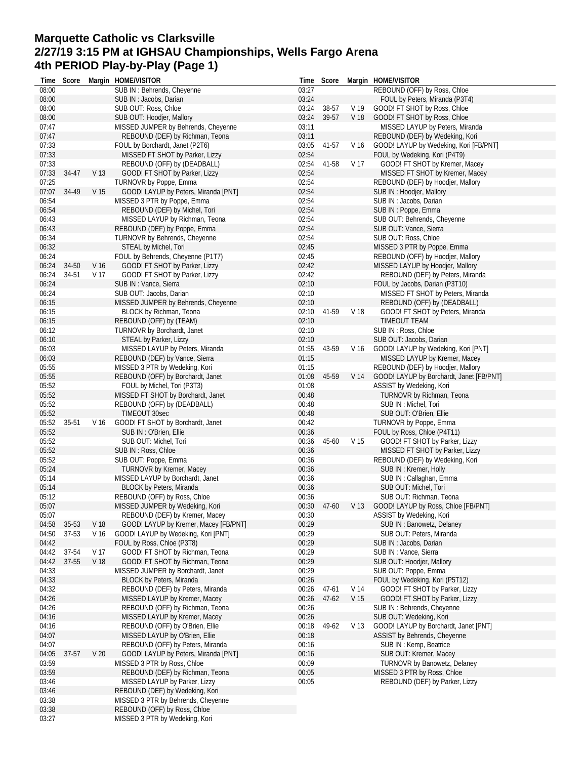# **Marquette Catholic vs Clarksville 2/27/19 3:15 PM at IGHSAU Championships, Wells Fargo Arena 4th PERIOD Play-by-Play (Page 1)**

|       | Time Score |                 | Margin HOME/VISITOR                   |       | Time Score |                 | Margin HOME/VISITOR                                  |
|-------|------------|-----------------|---------------------------------------|-------|------------|-----------------|------------------------------------------------------|
| 08:00 |            |                 | SUB IN : Behrends, Cheyenne           | 03:27 |            |                 | REBOUND (OFF) by Ross, Chloe                         |
| 08:00 |            |                 | SUB IN: Jacobs, Darian                | 03:24 |            |                 | FOUL by Peters, Miranda (P3T4)                       |
| 08:00 |            |                 | SUB OUT: Ross, Chloe                  | 03:24 | 38-57      | V 19            | GOOD! FT SHOT by Ross, Chloe                         |
| 08:00 |            |                 | SUB OUT: Hoodjer, Mallory             | 03:24 | 39-57      |                 | V 18 GOOD! FT SHOT by Ross, Chloe                    |
| 07:47 |            |                 | MISSED JUMPER by Behrends, Cheyenne   | 03:11 |            |                 | MISSED LAYUP by Peters, Miranda                      |
| 07:47 |            |                 | REBOUND (DEF) by Richman, Teona       | 03:11 |            |                 | REBOUND (DEF) by Wedeking, Kori                      |
| 07:33 |            |                 | FOUL by Borchardt, Janet (P2T6)       | 03:05 | 41-57      | V 16            | GOOD! LAYUP by Wedeking, Kori [FB/PNT]               |
| 07:33 |            |                 | MISSED FT SHOT by Parker, Lizzy       | 02:54 |            |                 | FOUL by Wedeking, Kori (P4T9)                        |
| 07:33 |            |                 | REBOUND (OFF) by (DEADBALL)           | 02:54 | 41-58      | V 17            | GOOD! FT SHOT by Kremer, Macey                       |
| 07:33 | 34-47      | V 13            | GOOD! FT SHOT by Parker, Lizzy        | 02:54 |            |                 | MISSED FT SHOT by Kremer, Macey                      |
| 07:25 |            |                 | TURNOVR by Poppe, Emma                | 02:54 |            |                 | REBOUND (DEF) by Hoodjer, Mallory                    |
| 07:07 | 34-49      | V 15            | GOOD! LAYUP by Peters, Miranda [PNT]  | 02:54 |            |                 | SUB IN: Hoodjer, Mallory                             |
| 06:54 |            |                 | MISSED 3 PTR by Poppe, Emma           | 02:54 |            |                 | SUB IN: Jacobs, Darian                               |
| 06:54 |            |                 |                                       | 02:54 |            |                 |                                                      |
|       |            |                 | REBOUND (DEF) by Michel, Tori         |       |            |                 | SUB IN: Poppe, Emma                                  |
| 06:43 |            |                 | MISSED LAYUP by Richman, Teona        | 02:54 |            |                 | SUB OUT: Behrends, Cheyenne                          |
| 06:43 |            |                 | REBOUND (DEF) by Poppe, Emma          | 02:54 |            |                 | SUB OUT: Vance, Sierra                               |
| 06:34 |            |                 | TURNOVR by Behrends, Cheyenne         | 02:54 |            |                 | SUB OUT: Ross, Chloe                                 |
| 06:32 |            |                 | STEAL by Michel, Tori                 | 02:45 |            |                 | MISSED 3 PTR by Poppe, Emma                          |
| 06:24 |            |                 | FOUL by Behrends, Cheyenne (P1T7)     | 02:45 |            |                 | REBOUND (OFF) by Hoodjer, Mallory                    |
| 06:24 | 34-50      | V 16            | GOOD! FT SHOT by Parker, Lizzy        | 02:42 |            |                 | MISSED LAYUP by Hoodjer, Mallory                     |
| 06:24 | 34-51      | V 17            | GOOD! FT SHOT by Parker, Lizzy        | 02:42 |            |                 | REBOUND (DEF) by Peters, Miranda                     |
| 06:24 |            |                 | SUB IN: Vance, Sierra                 | 02:10 |            |                 | FOUL by Jacobs, Darian (P3T10)                       |
| 06:24 |            |                 | SUB OUT: Jacobs, Darian               | 02:10 |            |                 | MISSED FT SHOT by Peters, Miranda                    |
| 06:15 |            |                 | MISSED JUMPER by Behrends, Cheyenne   | 02:10 |            |                 | REBOUND (OFF) by (DEADBALL)                          |
| 06:15 |            |                 | BLOCK by Richman, Teona               | 02:10 | 41-59      | V 18            | GOOD! FT SHOT by Peters, Miranda                     |
| 06:15 |            |                 | REBOUND (OFF) by (TEAM)               | 02:10 |            |                 | TIMEOUT TEAM                                         |
| 06:12 |            |                 | TURNOVR by Borchardt, Janet           | 02:10 |            |                 | SUB IN: Ross, Chloe                                  |
|       |            |                 |                                       | 02:10 |            |                 | SUB OUT: Jacobs, Darian                              |
| 06:10 |            |                 | STEAL by Parker, Lizzy                |       |            |                 |                                                      |
| 06:03 |            |                 | MISSED LAYUP by Peters, Miranda       | 01:55 | 43-59      | V 16            | GOOD! LAYUP by Wedeking, Kori [PNT]                  |
| 06:03 |            |                 | REBOUND (DEF) by Vance, Sierra        | 01:15 |            |                 | MISSED LAYUP by Kremer, Macey                        |
| 05:55 |            |                 | MISSED 3 PTR by Wedeking, Kori        | 01:15 |            |                 | REBOUND (DEF) by Hoodjer, Mallory                    |
| 05:55 |            |                 | REBOUND (OFF) by Borchardt, Janet     | 01:08 | 45-59      | V 14            | GOOD! LAYUP by Borchardt, Janet [FB/PNT]             |
| 05:52 |            |                 | FOUL by Michel, Tori (P3T3)           | 01:08 |            |                 | ASSIST by Wedeking, Kori                             |
| 05:52 |            |                 | MISSED FT SHOT by Borchardt, Janet    | 00:48 |            |                 | <b>TURNOVR by Richman, Teona</b>                     |
| 05:52 |            |                 | REBOUND (OFF) by (DEADBALL)           | 00:48 |            |                 | SUB IN: Michel, Tori                                 |
| 05:52 |            |                 | TIMEOUT 30sec                         | 00:48 |            |                 | SUB OUT: O'Brien, Ellie                              |
| 05:52 | 35-51      | V 16            | GOOD! FT SHOT by Borchardt, Janet     | 00:42 |            |                 | TURNOVR by Poppe, Emma                               |
| 05:52 |            |                 | SUB IN: O'Brien, Ellie                | 00:36 |            |                 | FOUL by Ross, Chloe (P4T11)                          |
| 05:52 |            |                 | SUB OUT: Michel, Tori                 | 00:36 | 45-60      | V <sub>15</sub> | GOOD! FT SHOT by Parker, Lizzy                       |
| 05:52 |            |                 | SUB IN: Ross, Chloe                   | 00:36 |            |                 | MISSED FT SHOT by Parker, Lizzy                      |
| 05:52 |            |                 | SUB OUT: Poppe, Emma                  | 00:36 |            |                 | REBOUND (DEF) by Wedeking, Kori                      |
| 05:24 |            |                 | TURNOVR by Kremer, Macey              | 00:36 |            |                 | SUB IN: Kremer, Holly                                |
| 05:14 |            |                 | MISSED LAYUP by Borchardt, Janet      | 00:36 |            |                 | SUB IN: Callaghan, Emma                              |
| 05:14 |            |                 | BLOCK by Peters, Miranda              | 00:36 |            |                 | SUB OUT: Michel, Tori                                |
| 05:12 |            |                 | REBOUND (OFF) by Ross, Chloe          | 00:36 |            |                 | SUB OUT: Richman, Teona                              |
| 05:07 |            |                 |                                       |       |            |                 | 00:30 47-60 V 13 GOOD! LAYUP by Ross, Chloe [FB/PNT] |
|       |            |                 | MISSED JUMPER by Wedeking, Kori       |       |            |                 |                                                      |
| 05:07 |            |                 | REBOUND (DEF) by Kremer, Macey        | 00:30 |            |                 | ASSIST by Wedeking, Kori                             |
| 04:58 | 35-53      | V 18            | GOOD! LAYUP by Kremer, Macey [FB/PNT] | 00:29 |            |                 | SUB IN: Banowetz, Delaney                            |
| 04:50 | 37-53      | V 16            | GOOD! LAYUP by Wedeking, Kori [PNT]   | 00:29 |            |                 | SUB OUT: Peters, Miranda                             |
| 04:42 |            |                 | FOUL by Ross, Chloe (P3T8)            | 00:29 |            |                 | SUB IN: Jacobs, Darian                               |
| 04:42 | 37-54      | V 17            | GOOD! FT SHOT by Richman, Teona       | 00:29 |            |                 | SUB IN: Vance, Sierra                                |
| 04:42 | 37-55      | V <sub>18</sub> | GOOD! FT SHOT by Richman, Teona       | 00:29 |            |                 | SUB OUT: Hoodjer, Mallory                            |
| 04:33 |            |                 | MISSED JUMPER by Borchardt, Janet     | 00:29 |            |                 | SUB OUT: Poppe, Emma                                 |
| 04:33 |            |                 | <b>BLOCK by Peters, Miranda</b>       | 00:26 |            |                 | FOUL by Wedeking, Kori (P5T12)                       |
| 04:32 |            |                 | REBOUND (DEF) by Peters, Miranda      | 00:26 | 47-61      | V 14            | GOOD! FT SHOT by Parker, Lizzy                       |
| 04:26 |            |                 | MISSED LAYUP by Kremer, Macey         | 00:26 | $47 - 62$  | V 15            | GOOD! FT SHOT by Parker, Lizzy                       |
| 04:26 |            |                 | REBOUND (OFF) by Richman, Teona       | 00:26 |            |                 | SUB IN: Behrends, Cheyenne                           |
| 04:16 |            |                 | MISSED LAYUP by Kremer, Macey         | 00:26 |            |                 | SUB OUT: Wedeking, Kori                              |
| 04:16 |            |                 | REBOUND (OFF) by O'Brien, Ellie       | 00:18 | 49-62      | V 13            | GOOD! LAYUP by Borchardt, Janet [PNT]                |
| 04:07 |            |                 | MISSED LAYUP by O'Brien, Ellie        | 00:18 |            |                 | ASSIST by Behrends, Cheyenne                         |
| 04:07 |            |                 | REBOUND (OFF) by Peters, Miranda      | 00:16 |            |                 | SUB IN: Kemp, Beatrice                               |
| 04:05 | 37-57      | V <sub>20</sub> | GOOD! LAYUP by Peters, Miranda [PNT]  | 00:16 |            |                 | SUB OUT: Kremer, Macey                               |
| 03:59 |            |                 | MISSED 3 PTR by Ross, Chloe           | 00:09 |            |                 | TURNOVR by Banowetz, Delaney                         |
| 03:59 |            |                 | REBOUND (DEF) by Richman, Teona       | 00:05 |            |                 | MISSED 3 PTR by Ross, Chloe                          |
| 03:46 |            |                 |                                       | 00:05 |            |                 |                                                      |
|       |            |                 | MISSED LAYUP by Parker, Lizzy         |       |            |                 | REBOUND (DEF) by Parker, Lizzy                       |
| 03:46 |            |                 | REBOUND (DEF) by Wedeking, Kori       |       |            |                 |                                                      |
| 03:38 |            |                 | MISSED 3 PTR by Behrends, Cheyenne    |       |            |                 |                                                      |
| 03:38 |            |                 | REBOUND (OFF) by Ross, Chloe          |       |            |                 |                                                      |
| 03:27 |            |                 | MISSED 3 PTR by Wedeking, Kori        |       |            |                 |                                                      |